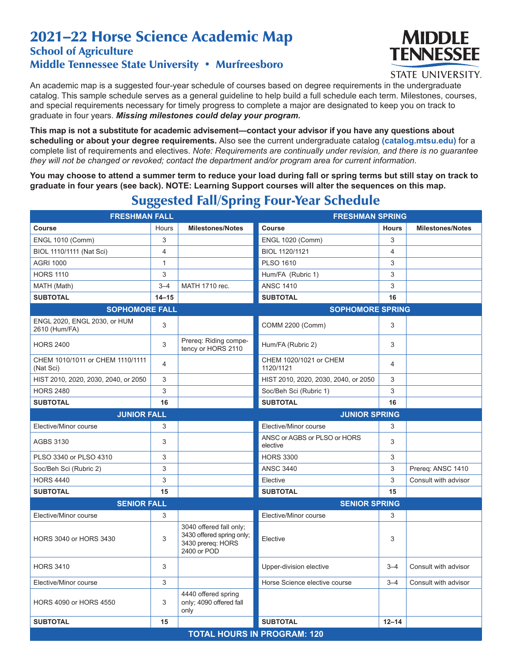## 2021–22 Horse Science Academic Map School of Agriculture

## Middle Tennessee State University • Murfreesboro



**STATE UNIVERSITY.** 

An academic map is a suggested four-year schedule of courses based on degree requirements in the undergraduate catalog. This sample schedule serves as a general guideline to help build a full schedule each term. Milestones, courses, and special requirements necessary for timely progress to complete a major are designated to keep you on track to graduate in four years. *Missing milestones could delay your program.*

**This map is not a substitute for academic advisement—contact your advisor if you have any questions about scheduling or about your degree requirements.** Also see the current undergraduate catalog **(catalog.mtsu.edu)** for a complete list of requirements and electives. *Note: Requirements are continually under revision, and there is no guarantee they will not be changed or revoked; contact the department and/or program area for current information.*

**You may choose to attend a summer term to reduce your load during fall or spring terms but still stay on track to graduate in four years (see back). NOTE: Learning Support courses will alter the sequences on this map.**

| <b>FRESHMAN FALL</b>                          |                | <b>FRESHMAN SPRING</b>                                                                   |                                          |              |                         |  |  |
|-----------------------------------------------|----------------|------------------------------------------------------------------------------------------|------------------------------------------|--------------|-------------------------|--|--|
| <b>Course</b>                                 | Hours          | <b>Milestones/Notes</b>                                                                  | Course                                   | <b>Hours</b> | <b>Milestones/Notes</b> |  |  |
| <b>ENGL 1010 (Comm)</b>                       | 3              |                                                                                          | <b>ENGL 1020 (Comm)</b>                  | 3            |                         |  |  |
| BIOL 1110/1111 (Nat Sci)                      | 4              |                                                                                          | BIOL 1120/1121                           | 4            |                         |  |  |
| <b>AGRI 1000</b>                              | $\mathbf{1}$   |                                                                                          | <b>PLSO 1610</b>                         | 3            |                         |  |  |
| <b>HORS 1110</b>                              | 3              |                                                                                          | Hum/FA (Rubric 1)                        | 3            |                         |  |  |
| MATH (Math)                                   | $3 - 4$        | MATH 1710 rec.                                                                           | <b>ANSC 1410</b>                         | 3            |                         |  |  |
| <b>SUBTOTAL</b>                               | $14 - 15$      |                                                                                          | <b>SUBTOTAL</b>                          | 16           |                         |  |  |
| <b>SOPHOMORE FALL</b>                         |                | <b>SOPHOMORE SPRING</b>                                                                  |                                          |              |                         |  |  |
| ENGL 2020, ENGL 2030, or HUM<br>2610 (Hum/FA) | 3              |                                                                                          | COMM 2200 (Comm)                         | 3            |                         |  |  |
| <b>HORS 2400</b>                              | 3              | Prereq: Riding compe-<br>tency or HORS 2110                                              | Hum/FA (Rubric 2)                        | 3            |                         |  |  |
| CHEM 1010/1011 or CHEM 1110/1111<br>(Nat Sci) | $\overline{4}$ |                                                                                          | CHEM 1020/1021 or CHEM<br>1120/1121      | 4            |                         |  |  |
| HIST 2010, 2020, 2030, 2040, or 2050          | 3              |                                                                                          | HIST 2010, 2020, 2030, 2040, or 2050     | 3            |                         |  |  |
| <b>HORS 2480</b>                              | 3              |                                                                                          | Soc/Beh Sci (Rubric 1)                   | 3            |                         |  |  |
| <b>SUBTOTAL</b>                               | 16             |                                                                                          | <b>SUBTOTAL</b>                          | 16           |                         |  |  |
| <b>JUNIOR FALL</b>                            |                |                                                                                          | <b>JUNIOR SPRING</b>                     |              |                         |  |  |
| Elective/Minor course                         | 3              |                                                                                          | Elective/Minor course                    | 3            |                         |  |  |
| <b>AGBS 3130</b>                              | 3              |                                                                                          | ANSC or AGBS or PLSO or HORS<br>elective | 3            |                         |  |  |
| PLSO 3340 or PLSO 4310                        | 3              |                                                                                          | <b>HORS 3300</b>                         | 3            |                         |  |  |
| Soc/Beh Sci (Rubric 2)                        | 3              |                                                                                          | <b>ANSC 3440</b>                         | 3            | Prereq: ANSC 1410       |  |  |
| <b>HORS 4440</b>                              | 3              |                                                                                          | Elective                                 | 3            | Consult with advisor    |  |  |
| <b>SUBTOTAL</b>                               | 15             |                                                                                          | <b>SUBTOTAL</b>                          | 15           |                         |  |  |
| <b>SENIOR FALL</b>                            |                |                                                                                          | <b>SENIOR SPRING</b>                     |              |                         |  |  |
| Elective/Minor course                         | 3              |                                                                                          | Elective/Minor course                    | 3            |                         |  |  |
| <b>HORS 3040 or HORS 3430</b>                 | 3              | 3040 offered fall only;<br>3430 offered spring only;<br>3430 prereq: HORS<br>2400 or POD | Elective                                 | 3            |                         |  |  |
| <b>HORS 3410</b>                              | 3              |                                                                                          | Upper-division elective                  | $3 - 4$      | Consult with advisor    |  |  |
| Elective/Minor course                         | 3              |                                                                                          | Horse Science elective course            | $3 - 4$      | Consult with advisor    |  |  |
| <b>HORS 4090 or HORS 4550</b>                 | 3              | 4440 offered spring<br>only; 4090 offered fall<br>only                                   |                                          |              |                         |  |  |
| <b>SUBTOTAL</b>                               | 15             |                                                                                          | <b>SUBTOTAL</b>                          | $12 - 14$    |                         |  |  |
| <b>TOTAL HOURS IN PROGRAM: 120</b>            |                |                                                                                          |                                          |              |                         |  |  |

## Suggested Fall/Spring Four-Year Schedule